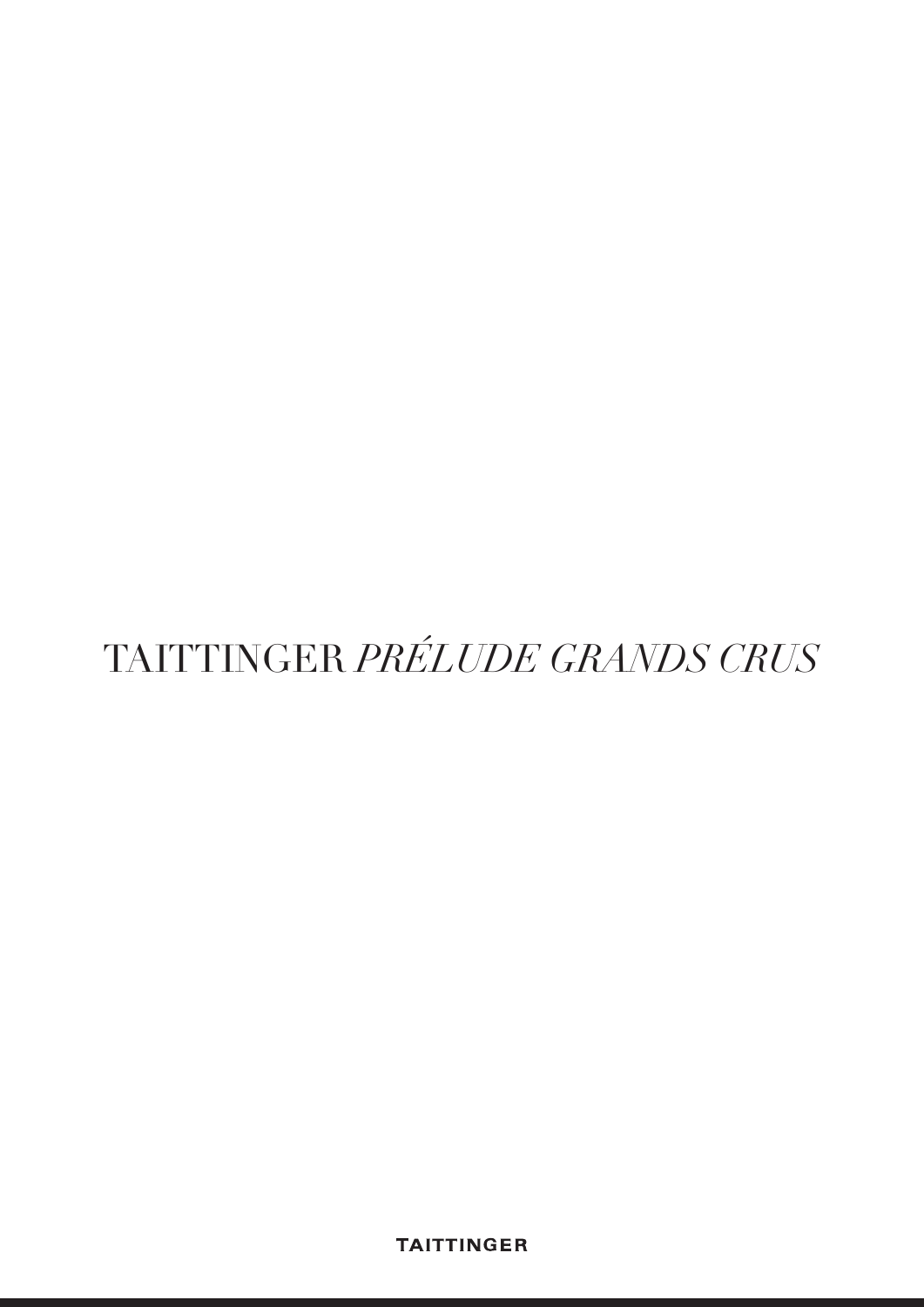## TAITTINGER *PRÉLUDE GRANDS CRUS*

**TAITTINGER**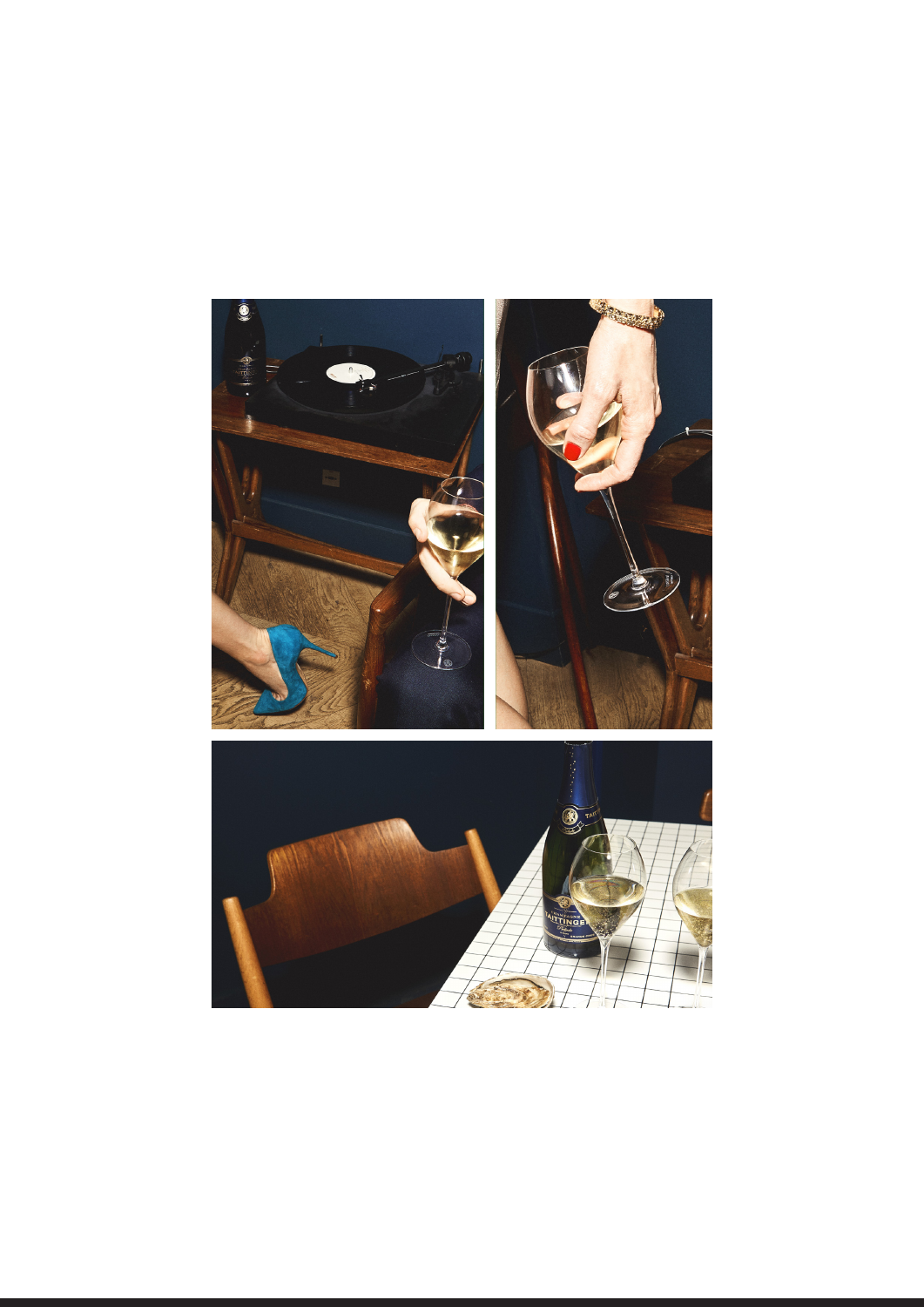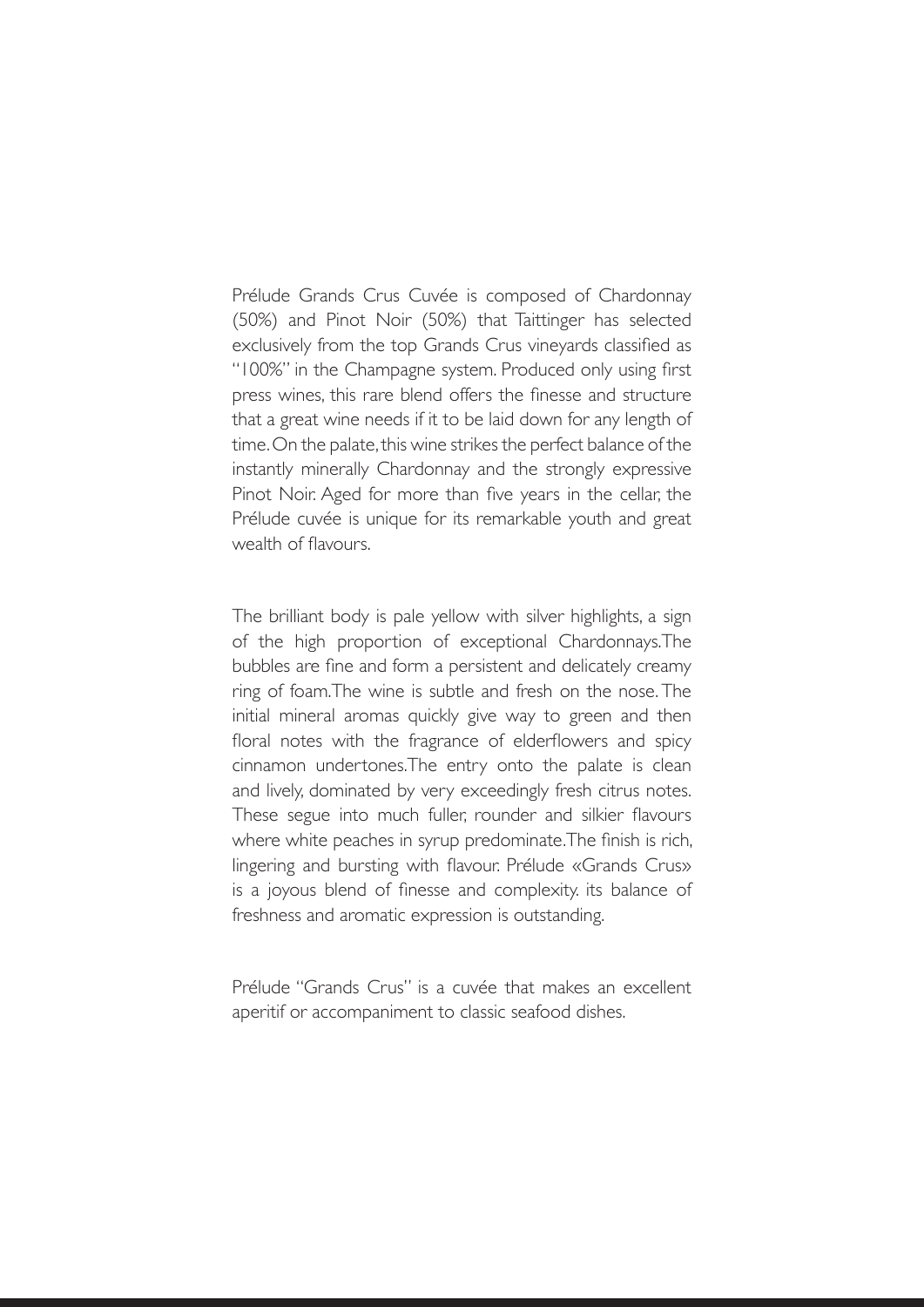Prélude Grands Crus Cuvée is composed of Chardonnay (50%) and Pinot Noir (50%) that Taittinger has selected exclusively from the top Grands Crus vineyards classified as "100%" in the Champagne system. Produced only using first press wines, this rare blend offers the finesse and structure that a great wine needs if it to be laid down for any length of time. On the palate, this wine strikes the perfect balance of the instantly minerally Chardonnay and the strongly expressive Pinot Noir. Aged for more than five years in the cellar, the Prélude cuvée is unique for its remarkable youth and great wealth of flavours.

The brilliant body is pale yellow with silver highlights, a sign of the high proportion of exceptional Chardonnays.The bubbles are fine and form a persistent and delicately creamy ring of foam.The wine is subtle and fresh on the nose. The initial mineral aromas quickly give way to green and then floral notes with the fragrance of elderflowers and spicy cinnamon undertones.The entry onto the palate is clean and lively, dominated by very exceedingly fresh citrus notes. These segue into much fuller, rounder and silkier flavours where white peaches in syrup predominate.The finish is rich, lingering and bursting with flavour. Prélude «Grands Crus» is a joyous blend of finesse and complexity. its balance of freshness and aromatic expression is outstanding.

Prélude "Grands Crus" is a cuvée that makes an excellent aperitif or accompaniment to classic seafood dishes.